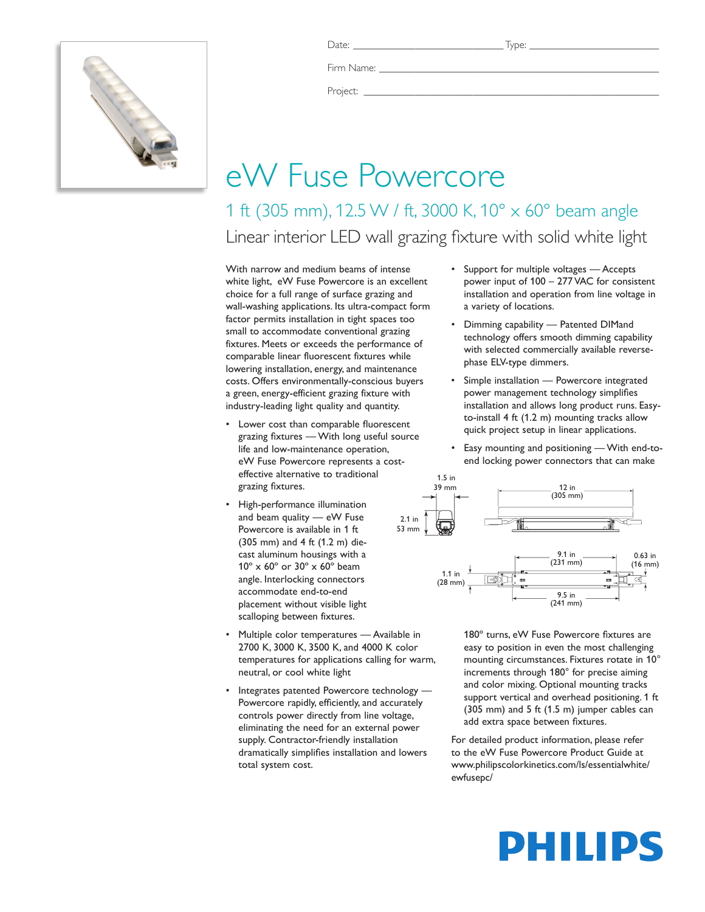

Date: \_\_\_\_\_\_\_\_\_\_\_\_\_\_\_\_\_\_\_\_\_\_\_\_\_\_\_\_\_ Type: \_\_\_\_\_\_\_\_\_\_\_\_\_\_\_\_\_\_\_\_\_\_\_\_\_

Firm Name:

Project:

## eW Fuse Powercore

1 ft (305 mm), 12.5 W / ft, 3000 K, 10° x 60° beam angle Linear interior LED wall grazing fixture with solid white light

With narrow and medium beams of intense white light, eW Fuse Powercore is an excellent choice for a full range of surface grazing and wall-washing applications. Its ultra-compact form factor permits installation in tight spaces too small to accommodate conventional grazing fixtures. Meets or exceeds the performance of comparable linear fluorescent fixtures while lowering installation, energy, and maintenance costs. Offers environmentally-conscious buyers a green, energy-efficient grazing fixture with industry-leading light quality and quantity.

- Lower cost than comparable fluorescent grazing fixtures — With long useful source life and low-maintenance operation, eW Fuse Powercore represents a costeffective alternative to traditional grazing fixtures.
- • High-performance illumination and beam quality — eW Fuse Powercore is available in 1 ft (305 mm) and 4 ft (1.2 m) diecast aluminum housings with a 10º x 60º or 30º x 60º beam angle. Interlocking connectors accommodate end-to-end placement without visible light scalloping between fixtures.
- Multiple color temperatures Available in 2700 K, 3000 K, 3500 K, and 4000 K color temperatures for applications calling for warm, neutral, or cool white light
- Integrates patented Powercore technology -Powercore rapidly, efficiently, and accurately controls power directly from line voltage, eliminating the need for an external power supply. Contractor-friendly installation dramatically simplifies installation and lowers total system cost.
- • Support for multiple voltages Accepts power input of 100 – 277 VAC for consistent installation and operation from line voltage in a variety of locations.
- • Dimming capability Patented DIMand technology offers smooth dimming capability with selected commercially available reversephase ELV-type dimmers.
- Simple installation Powercore integrated power management technology simplifies installation and allows long product runs. Easyto-install 4 ft (1.2 m) mounting tracks allow quick project setup in linear applications.
- Easy mounting and positioning With end-toend locking power connectors that can make



180º turns, eW Fuse Powercore fixtures are easy to position in even the most challenging mounting circumstances. Fixtures rotate in 10° increments through 180° for precise aiming and color mixing. Optional mounting tracks support vertical and overhead positioning. 1 ft (305 mm) and 5 ft (1.5 m) jumper cables can add extra space between fixtures.

For detailed product information, please refer to the eW Fuse Powercore Product Guide at www.philipscolorkinetics.com/ls/essentialwhite/ ewfusepc/

# PHILIPS